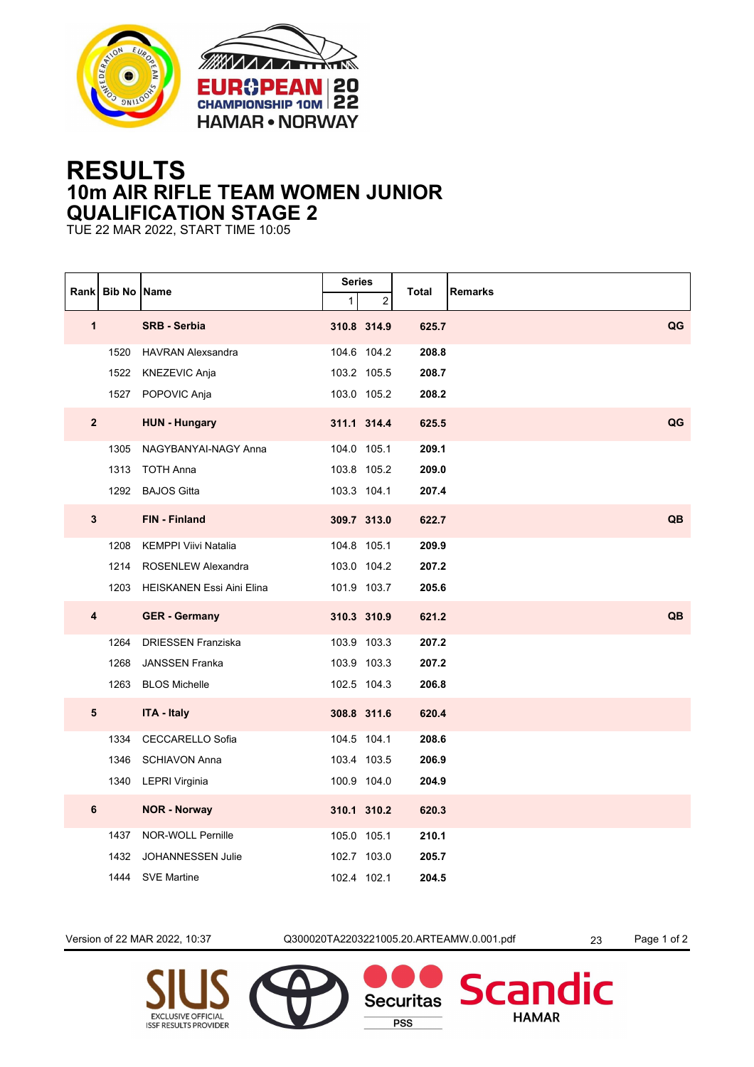



## **RESULTS 10m AIR RIFLE TEAM WOMEN JUNIOR QUALIFICATION STAGE 2**

TUE 22 MAR 2022, START TIME 10:05

|                         | Rank   Bib No   Name |                                  | <b>Series</b> |             | <b>Total</b> | Remarks |
|-------------------------|----------------------|----------------------------------|---------------|-------------|--------------|---------|
|                         |                      |                                  | $\mathbf{1}$  | 2           |              |         |
| $\mathbf{1}$            |                      | <b>SRB - Serbia</b>              |               | 310.8 314.9 | 625.7        | QG      |
|                         | 1520                 | <b>HAVRAN Alexsandra</b>         |               | 104.6 104.2 | 208.8        |         |
|                         | 1522                 | KNEZEVIC Anja                    |               | 103.2 105.5 | 208.7        |         |
|                         |                      | 1527 POPOVIC Anja                |               | 103.0 105.2 | 208.2        |         |
| $\overline{2}$          |                      | <b>HUN - Hungary</b>             |               | 311.1 314.4 | 625.5        | QG      |
|                         | 1305                 | NAGYBANYAI-NAGY Anna             |               | 104.0 105.1 | 209.1        |         |
|                         | 1313                 | <b>TOTH Anna</b>                 |               | 103.8 105.2 | 209.0        |         |
|                         |                      | 1292 BAJOS Gitta                 |               | 103.3 104.1 | 207.4        |         |
| 3                       |                      | <b>FIN - Finland</b>             |               | 309.7 313.0 | 622.7        | QB      |
|                         | 1208                 | KEMPPI Viivi Natalia             |               | 104.8 105.1 | 209.9        |         |
|                         | 1214                 | <b>ROSENLEW Alexandra</b>        |               | 103.0 104.2 | 207.2        |         |
|                         | 1203                 | <b>HEISKANEN Essi Aini Elina</b> |               | 101.9 103.7 | 205.6        |         |
| $\overline{\mathbf{4}}$ |                      | <b>GER - Germany</b>             |               | 310.3 310.9 | 621.2        | QB      |
|                         | 1264                 | <b>DRIESSEN Franziska</b>        |               | 103.9 103.3 | 207.2        |         |
|                         | 1268                 | <b>JANSSEN Franka</b>            |               | 103.9 103.3 | 207.2        |         |
|                         | 1263                 | <b>BLOS Michelle</b>             |               | 102.5 104.3 | 206.8        |         |
| 5                       |                      | <b>ITA - Italy</b>               |               | 308.8 311.6 | 620.4        |         |
|                         | 1334                 | CECCARELLO Sofia                 |               | 104.5 104.1 | 208.6        |         |
|                         | 1346                 | <b>SCHIAVON Anna</b>             |               | 103.4 103.5 | 206.9        |         |
|                         |                      | 1340 LEPRI Virginia              |               | 100.9 104.0 | 204.9        |         |
| 6                       |                      | <b>NOR - Norway</b>              |               | 310.1 310.2 | 620.3        |         |
|                         | 1437                 | NOR-WOLL Pernille                |               | 105.0 105.1 | 210.1        |         |
|                         | 1432                 | <b>JOHANNESSEN Julie</b>         |               | 102.7 103.0 | 205.7        |         |
|                         |                      | 1444 SVE Martine                 |               | 102.4 102.1 | 204.5        |         |

Version of 22 MAR 2022, 10:37 Q300020TA2203221005.20.ARTEAMW.0.001.pdf 23 Page 1 of 2

**Securitas** 

**PSS** 

dic

Scan

**HAMAR**